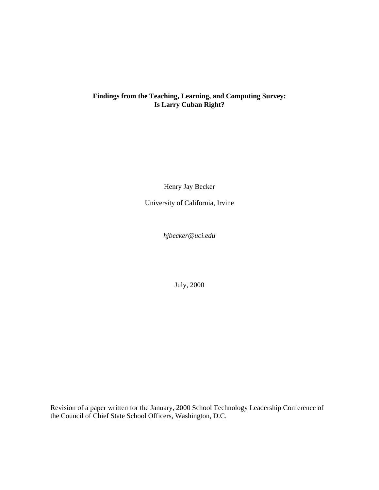# **Findings from the Teaching, Learning, and Computing Survey: Is Larry Cuban Right?**

Henry Jay Becker

University of California, Irvine

*hjbecker@uci.edu*

July, 2000

Revision of a paper written for the January, 2000 School Technology Leadership Conference of the Council of Chief State School Officers, Washington, D.C.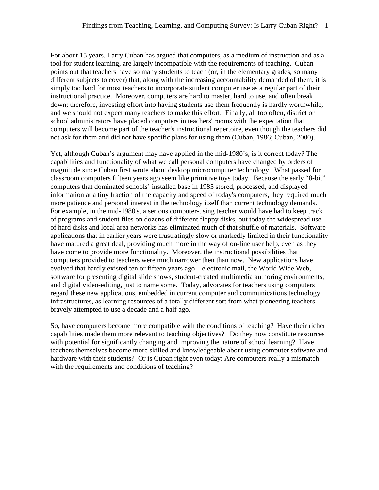For about 15 years, Larry Cuban has argued that computers, as a medium of instruction and as a tool for student learning, are largely incompatible with the requirements of teaching. Cuban points out that teachers have so many students to teach (or, in the elementary grades, so many different subjects to cover) that, along with the increasing accountability demanded of them, it is simply too hard for most teachers to incorporate student computer use as a regular part of their instructional practice. Moreover, computers are hard to master, hard to use, and often break down; therefore, investing effort into having students use them frequently is hardly worthwhile, and we should not expect many teachers to make this effort. Finally, all too often, district or school administrators have placed computers in teachers' rooms with the expectation that computers will become part of the teacher's instructional repertoire, even though the teachers did not ask for them and did not have specific plans for using them (Cuban, 1986; Cuban, 2000).

Yet, although Cuban's argument may have applied in the mid-1980's, is it correct today? The capabilities and functionality of what we call personal computers have changed by orders of magnitude since Cuban first wrote about desktop microcomputer technology. What passed for classroom computers fifteen years ago seem like primitive toys today. Because the early "8-bit" computers that dominated schools' installed base in 1985 stored, processed, and displayed information at a tiny fraction of the capacity and speed of today's computers, they required much more patience and personal interest in the technology itself than current technology demands. For example, in the mid-1980's, a serious computer-using teacher would have had to keep track of programs and student files on dozens of different floppy disks, but today the widespread use of hard disks and local area networks has eliminated much of that shuffle of materials. Software applications that in earlier years were frustratingly slow or markedly limited in their functionality have matured a great deal, providing much more in the way of on-line user help, even as they have come to provide more functionality. Moreover, the instructional possibilities that computers provided to teachers were much narrower then than now. New applications have evolved that hardly existed ten or fifteen years ago—electronic mail, the World Wide Web, software for presenting digital slide shows, student-created multimedia authoring environments, and digital video-editing, just to name some. Today, advocates for teachers using computers regard these new applications, embedded in current computer and communications technology infrastructures, as learning resources of a totally different sort from what pioneering teachers bravely attempted to use a decade and a half ago.

So, have computers become more compatible with the conditions of teaching? Have their richer capabilities made them more relevant to teaching objectives? Do they now constitute resources with potential for significantly changing and improving the nature of school learning? Have teachers themselves become more skilled and knowledgeable about using computer software and hardware with their students? Or is Cuban right even today: Are computers really a mismatch with the requirements and conditions of teaching?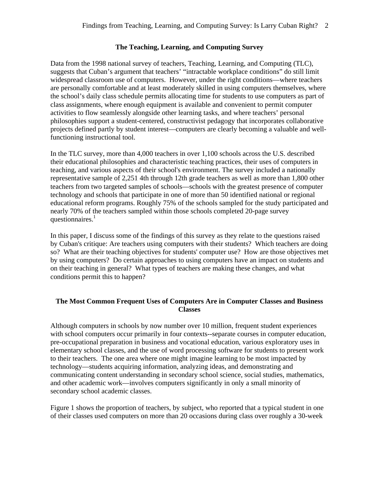# **The Teaching, Learning, and Computing Survey**

Data from the 1998 national survey of teachers, Teaching, Learning, and Computing (TLC), suggests that Cuban's argument that teachers' "intractable workplace conditions" do still limit widespread classroom use of computers. However, under the right conditions—where teachers are personally comfortable and at least moderately skilled in using computers themselves, where the school's daily class schedule permits allocating time for students to use computers as part of class assignments, where enough equipment is available and convenient to permit computer activities to flow seamlessly alongside other learning tasks, and where teachers' personal philosophies support a student-centered, constructivist pedagogy that incorporates collaborative projects defined partly by student interest—computers are clearly becoming a valuable and wellfunctioning instructional tool.

In the TLC survey, more than 4,000 teachers in over 1,100 schools across the U.S. described their educational philosophies and characteristic teaching practices, their uses of computers in teaching, and various aspects of their school's environment. The survey included a nationally representative sample of 2,251 4th through 12th grade teachers as well as more than 1,800 other teachers from two targeted samples of schools—schools with the greatest presence of computer technology and schools that participate in one of more than 50 identified national or regional educational reform programs. Roughly 75% of the schools sampled for the study participated and nearly 70% of the teachers sampled within those schools completed 20-page survey questionnaires.<sup>1</sup>

In this paper, I discuss some of the findings of this survey as they relate to the questions raised by Cuban's critique: Are teachers using computers with their students? Which teachers are doing so? What are their teaching objectives for students' computer use? How are those objectives met by using computers? Do certain approaches to using computers have an impact on students and on their teaching in general? What types of teachers are making these changes, and what conditions permit this to happen?

# **The Most Common Frequent Uses of Computers Are in Computer Classes and Business Classes**

Although computers in schools by now number over 10 million, frequent student experiences with school computers occur primarily in four contexts--separate courses in computer education, pre-occupational preparation in business and vocational education, various exploratory uses in elementary school classes, and the use of word processing software for students to present work to their teachers. The one area where one might imagine learning to be most impacted by technology—students acquiring information, analyzing ideas, and demonstrating and communicating content understanding in secondary school science, social studies, mathematics, and other academic work—involves computers significantly in only a small minority of secondary school academic classes.

Figure 1 shows the proportion of teachers, by subject, who reported that a typical student in one of their classes used computers on more than 20 occasions during class over roughly a 30-week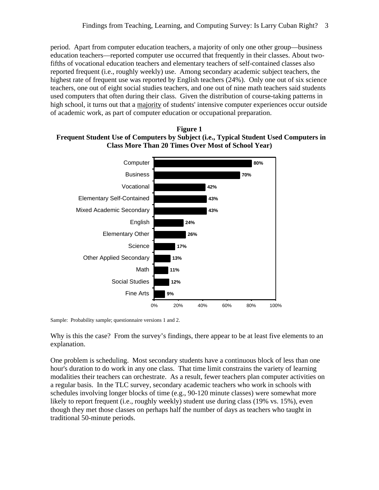period. Apart from computer education teachers, a majority of only one other group—business education teachers—reported computer use occurred that frequently in their classes. About twofifths of vocational education teachers and elementary teachers of self-contained classes also reported frequent (i.e., roughly weekly) use. Among secondary academic subject teachers, the highest rate of frequent use was reported by English teachers (24%). Only one out of six science teachers, one out of eight social studies teachers, and one out of nine math teachers said students used computers that often during their class. Given the distribution of course-taking patterns in high school, it turns out that a majority of students' intensive computer experiences occur outside of academic work, as part of computer education or occupational preparation.





Sample: Probability sample; questionnaire versions 1 and 2.

Why is this the case? From the survey's findings, there appear to be at least five elements to an explanation.

One problem is scheduling. Most secondary students have a continuous block of less than one hour's duration to do work in any one class. That time limit constrains the variety of learning modalities their teachers can orchestrate. As a result, fewer teachers plan computer activities on a regular basis. In the TLC survey, secondary academic teachers who work in schools with schedules involving longer blocks of time (e.g., 90-120 minute classes) were somewhat more likely to report frequent (i.e., roughly weekly) student use during class (19% vs. 15%), even though they met those classes on perhaps half the number of days as teachers who taught in traditional 50-minute periods.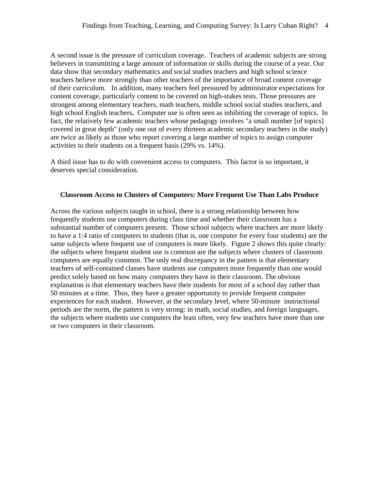A second issue is the pressure of curriculum coverage. Teachers of academic subjects are strong believers in transmitting a large amount of information or skills during the course of a year. Our data show that secondary mathematics and social studies teachers and high school science teachers believe more strongly than other teachers of the importance of broad content coverage of their curriculum. In addition, many teachers feel pressured by administrator expectations for content coverage, particularly content to be covered on high-stakes tests. Those pressures are strongest among elementary teachers, math teachers, middle school social studies teachers, and high school English teachers**.** Computer use is often seen as inhibiting the coverage of topics. In fact, the relatively few academic teachers whose pedagogy involves "a small number [of topics] covered in great depth" (only one out of every thirteen academic secondary teachers in the study) are twice as likely as those who report covering a large number of topics to assign computer activities to their students on a frequent basis (29% vs. 14%).

A third issue has to do with convenient access to computers. This factor is so important, it deserves special consideration.

#### **Classroom Access to Clusters of Computers: More Frequent Use Than Labs Produce**

Across the various subjects taught in school, there is a strong relationship between how frequently students use computers during class time and whether their classroom has a substantial number of computers present. Those school subjects where teachers are more likely to have a 1:4 ratio of computers to students (that is, one computer for every four students) are the same subjects where frequent use of computers is more likely. Figure 2 shows this quite clearly: the subjects where frequent student use is common are the subjects where clusters of classroom computers are equally common. The only real discrepancy in the pattern is that elementary teachers of self-contained classes have students use computers more frequently than one would predict solely based on how many computers they have in their classroom. The obvious explanation is that elementary teachers have their students for most of a school day rather than 50 minutes at a time. Thus, they have a greater opportunity to provide frequent computer experiences for each student. However, at the secondary level, where 50-minute instructional periods are the norm, the pattern is very strong: in math, social studies, and foreign languages, the subjects where students use computers the least often, very few teachers have more than one or two computers in their classroom.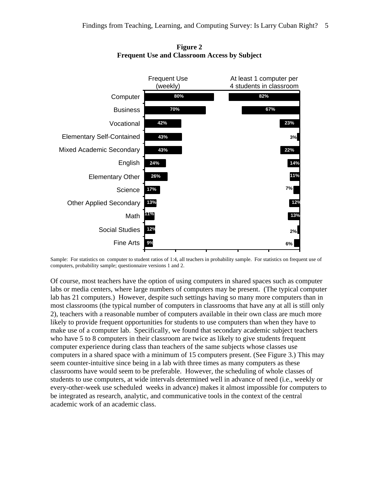

**Figure 2 Frequent Use and Classroom Access by Subject**

Sample: For statistics on computer to student ratios of 1:4, all teachers in probability sample. For statistics on frequent use of computers, probability sample; questionnaire versions 1 and 2.

Of course, most teachers have the option of using computers in shared spaces such as computer labs or media centers, where large numbers of computers may be present. (The typical computer lab has 21 computers.) However, despite such settings having so many more computers than in most classrooms (the typical number of computers in classrooms that have any at all is still only 2), teachers with a reasonable number of computers available in their own class are much more likely to provide frequent opportunities for students to use computers than when they have to make use of a computer lab. Specifically, we found that secondary academic subject teachers who have 5 to 8 computers in their classroom are twice as likely to give students frequent computer experience during class than teachers of the same subjects whose classes use computers in a shared space with a minimum of 15 computers present. (See Figure 3.) This may seem counter-intuitive since being in a lab with three times as many computers as these classrooms have would seem to be preferable. However, the scheduling of whole classes of students to use computers, at wide intervals determined well in advance of need (i.e., weekly or every-other-week use scheduled weeks in advance) makes it almost impossible for computers to be integrated as research, analytic, and communicative tools in the context of the central academic work of an academic class.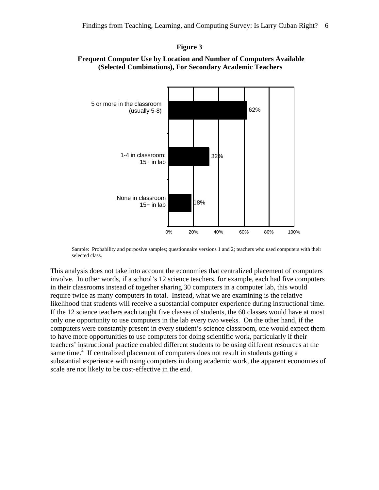#### **Figure 3**



### **Frequent Computer Use by Location and Number of Computers Available (Selected Combinations), For Secondary Academic Teachers**

Sample: Probability and purposive samples; questionnaire versions 1 and 2; teachers who used computers with their selected class.

This analysis does not take into account the economies that centralized placement of computers involve. In other words, if a school's 12 science teachers, for example, each had five computers in their classrooms instead of together sharing 30 computers in a computer lab, this would require twice as many computers in total. Instead, what we are examining is the relative likelihood that students will receive a substantial computer experience during instructional time. If the 12 science teachers each taught five classes of students, the 60 classes would have at most only one opportunity to use computers in the lab every two weeks. On the other hand, if the computers were constantly present in every student's science classroom, one would expect them to have more opportunities to use computers for doing scientific work, particularly if their teachers' instructional practice enabled different students to be using different resources at the same time. $\degree$  If centralized placement of computers does not result in students getting a substantial experience with using computers in doing academic work, the apparent economies of scale are not likely to be cost-effective in the end.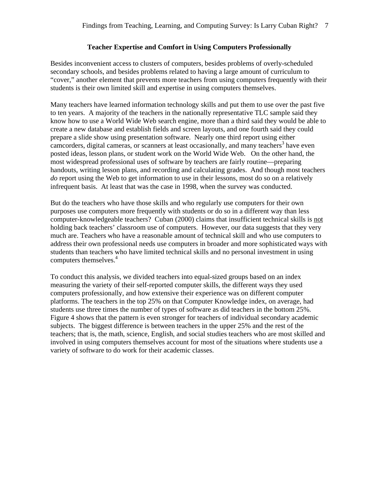# **Teacher Expertise and Comfort in Using Computers Professionally**

Besides inconvenient access to clusters of computers, besides problems of overly-scheduled secondary schools, and besides problems related to having a large amount of curriculum to "cover," another element that prevents more teachers from using computers frequently with their students is their own limited skill and expertise in using computers themselves.

Many teachers have learned information technology skills and put them to use over the past five to ten years. A majority of the teachers in the nationally representative TLC sample said they know how to use a World Wide Web search engine, more than a third said they would be able to create a new database and establish fields and screen layouts, and one fourth said they could prepare a slide show using presentation software. Nearly one third report using either camcorders, digital cameras, or scanners at least occasionally, and many teachers<sup>3</sup> have even posted ideas, lesson plans, or student work on the World Wide Web. On the other hand, the most widespread professional uses of software by teachers are fairly routine—preparing handouts, writing lesson plans, and recording and calculating grades. And though most teachers *do* report using the Web to get information to use in their lessons, most do so on a relatively infrequent basis. At least that was the case in 1998, when the survey was conducted.

But do the teachers who have those skills and who regularly use computers for their own purposes use computers more frequently with students or do so in a different way than less computer-knowledgeable teachers? Cuban (2000) claims that insufficient technical skills is not holding back teachers' classroom use of computers. However, our data suggests that they very much are. Teachers who have a reasonable amount of technical skill and who use computers to address their own professional needs use computers in broader and more sophisticated ways with students than teachers who have limited technical skills and no personal investment in using computers themselves.<sup>4</sup>

To conduct this analysis, we divided teachers into equal-sized groups based on an index measuring the variety of their self-reported computer skills, the different ways they used computers professionally, and how extensive their experience was on different computer platforms. The teachers in the top 25% on that Computer Knowledge index, on average, had students use three times the number of types of software as did teachers in the bottom 25%. Figure 4 shows that the pattern is even stronger for teachers of individual secondary academic subjects. The biggest difference is between teachers in the upper 25% and the rest of the teachers; that is, the math, science, English, and social studies teachers who are most skilled and involved in using computers themselves account for most of the situations where students use a variety of software to do work for their academic classes.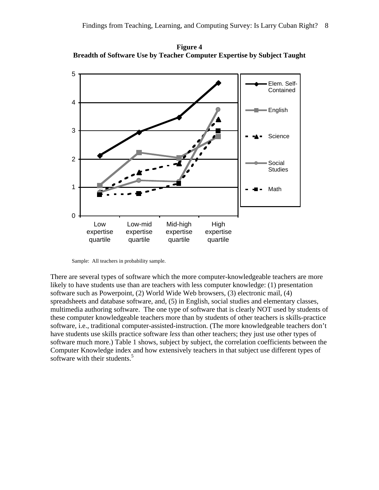**Figure 4 Breadth of Software Use by Teacher Computer Expertise by Subject Taught**



Sample: All teachers in probability sample.

There are several types of software which the more computer-knowledgeable teachers are more likely to have students use than are teachers with less computer knowledge: (1) presentation software such as Powerpoint, (2) World Wide Web browsers, (3) electronic mail, (4) spreadsheets and database software, and, (5) in English, social studies and elementary classes, multimedia authoring software. The one type of software that is clearly NOT used by students of these computer knowledgeable teachers more than by students of other teachers is skills-practice software, i.e., traditional computer-assisted-instruction. (The more knowledgeable teachers don't have students use skills practice software *less* than other teachers; they just use other types of software much more.) Table 1 shows, subject by subject, the correlation coefficients between the Computer Knowledge index and how extensively teachers in that subject use different types of software with their students. $5$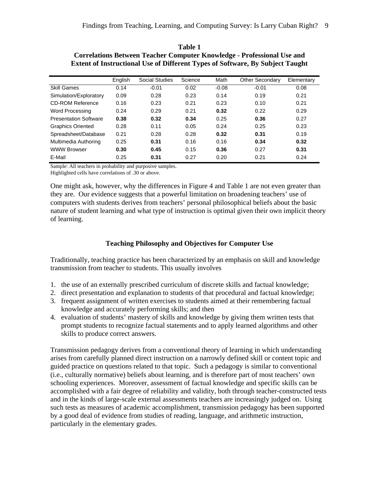|                              | English | Social Studies | Science | Math    | Other Secondary | Elementary |
|------------------------------|---------|----------------|---------|---------|-----------------|------------|
| <b>Skill Games</b>           | 0.14    | $-0.01$        | 0.02    | $-0.08$ | $-0.01$         | 0.08       |
| Simulation/Exploratory       | 0.09    | 0.28           | 0.23    | 0.14    | 0.19            | 0.21       |
| <b>CD-ROM Reference</b>      | 0.16    | 0.23           | 0.21    | 0.23    | 0.10            | 0.21       |
| Word Processing              | 0.24    | 0.29           | 0.21    | 0.32    | 0.22            | 0.29       |
| <b>Presentation Software</b> | 0.38    | 0.32           | 0.34    | 0.25    | 0.36            | 0.27       |
| <b>Graphics Oriented</b>     | 0.28    | 0.11           | 0.05    | 0.24    | 0.25            | 0.23       |
| Spreadsheet/Database         | 0.21    | 0.28           | 0.28    | 0.32    | 0.31            | 0.19       |
| Multimedia Authoring         | 0.25    | 0.31           | 0.16    | 0.16    | 0.34            | 0.32       |
| <b>WWW Browser</b>           | 0.30    | 0.45           | 0.15    | 0.36    | 0.27            | 0.31       |
| E-Mail                       | 0.25    | 0.31           | 0.27    | 0.20    | 0.21            | 0.24       |

**Table 1 Correlations Between Teacher Computer Knowledge - Professional Use and Extent of Instructional Use of Different Types of Software, By Subject Taught**

Sample: All teachers in probability and purposive samples.

Highlighted cells have correlations of .30 or above.

One might ask, however, why the differences in Figure 4 and Table 1 are not even greater than they are. Our evidence suggests that a powerful limitation on broadening teachers' use of computers with students derives from teachers' personal philosophical beliefs about the basic nature of student learning and what type of instruction is optimal given their own implicit theory of learning.

# **Teaching Philosophy and Objectives for Computer Use**

Traditionally, teaching practice has been characterized by an emphasis on skill and knowledge transmission from teacher to students. This usually involves

- 1. the use of an externally prescribed curriculum of discrete skills and factual knowledge;
- 2. direct presentation and explanation to students of that procedural and factual knowledge;
- 3. frequent assignment of written exercises to students aimed at their remembering factual knowledge and accurately performing skills; and then
- 4. evaluation of students' mastery of skills and knowledge by giving them written tests that prompt students to recognize factual statements and to apply learned algorithms and other skills to produce correct answers.

Transmission pedagogy derives from a conventional theory of learning in which understanding arises from carefully planned direct instruction on a narrowly defined skill or content topic and guided practice on questions related to that topic. Such a pedagogy is similar to conventional (i.e., culturally normative) beliefs about learning, and is therefore part of most teachers' own schooling experiences. Moreover, assessment of factual knowledge and specific skills can be accomplished with a fair degree of reliability and validity, both through teacher-constructed tests and in the kinds of large-scale external assessments teachers are increasingly judged on. Using such tests as measures of academic accomplishment, transmission pedagogy has been supported by a good deal of evidence from studies of reading, language, and arithmetic instruction, particularly in the elementary grades.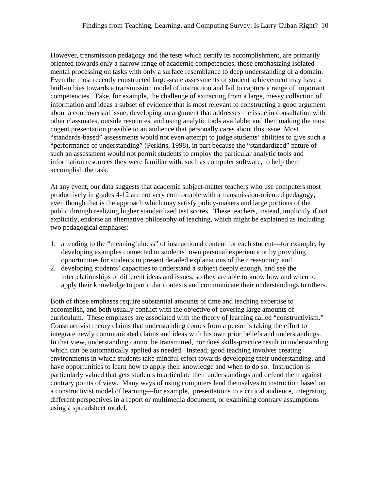However, transmission pedagogy and the tests which certify its accomplishment, are primarily oriented towards only a narrow range of academic competencies, those emphasizing isolated mental processing on tasks with only a surface resemblance to deep understanding of a domain. Even the most recently constructed large-scale assessments of student achievement may have a built-in bias towards a transmission model of instruction and fail to capture a range of important competencies. Take, for example, the challenge of extracting from a large, messy collection of information and ideas a subset of evidence that is most relevant to constructing a good argument about a controversial issue; developing an argument that addresses the issue in consultation with other classmates, outside resources, and using analytic tools available; and then making the most cogent presentation possible to an audience that personally cares about this issue. Most "standards-based" assessments would not even attempt to judge students' abilities to give such a "performance of understanding" (Perkins, 1998), in part because the "standardized" nature of such an assessment would not permit students to employ the particular analytic tools and information resources they were familiar with, such as computer software, to help them accomplish the task.

At any event, our data suggests that academic subject-matter teachers who use computers most productively in grades 4-12 are not very comfortable with a transmission-oriented pedagogy, even though that is the approach which may satisfy policy-makers and large portions of the public through realizing higher standardized test scores. These teachers, instead, implicitly if not explicitly, endorse an alternative philosophy of teaching, which might be explained as including two pedagogical emphases:

- 1. attending to the "meaningfulness" of instructional content for each student—for example, by developing examples connected to students' own personal experience or by providing opportunities for students to present detailed explanations of their reasoning; and
- 2. developing students' capacities to understand a subject deeply enough, and see the interrelationships of different ideas and issues, so they are able to know how and when to apply their knowledge to particular contexts and communicate their understandings to others.

Both of those emphases require substantial amounts of time and teaching expertise to accomplish, and both usually conflict with the objective of covering large amounts of curriculum. These emphases are associated with the theory of learning called "constructivism." Constructivist theory claims that understanding comes from a person's taking the effort to integrate newly communicated claims and ideas with his own prior beliefs and understandings. In that view, understanding cannot be transmitted, nor does skills-practice result in understanding which can be automatically applied as needed. Instead, good teaching involves creating environments in which students take mindful effort towards developing their understanding, and have opportunities to learn how to apply their knowledge and when to do so. Instruction is particularly valued that gets students to articulate their understandings and defend them against contrary points of view. Many ways of using computers lend themselves to instruction based on a constructivist model of learning—for example, presentations to a critical audience, integrating different perspectives in a report or multimedia document, or examining contrary assumptions using a spreadsheet model.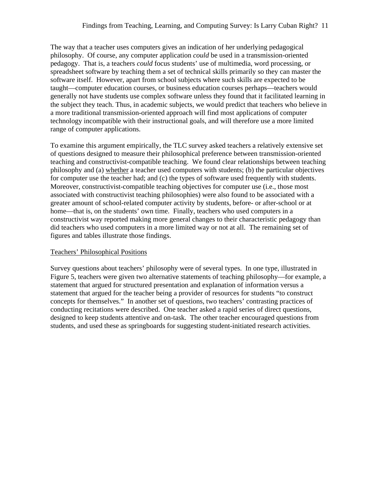The way that a teacher uses computers gives an indication of her underlying pedagogical philosophy. Of course, any computer application *could* be used in a transmission-oriented pedagogy. That is, a teachers *could* focus students' use of multimedia, word processing, or spreadsheet software by teaching them a set of technical skills primarily so they can master the software itself. However, apart from school subjects where such skills are expected to be taught—computer education courses, or business education courses perhaps—teachers would generally not have students use complex software unless they found that it facilitated learning in the subject they teach. Thus, in academic subjects, we would predict that teachers who believe in a more traditional transmission-oriented approach will find most applications of computer technology incompatible with their instructional goals, and will therefore use a more limited range of computer applications.

To examine this argument empirically, the TLC survey asked teachers a relatively extensive set of questions designed to measure their philosophical preference between transmission-oriented teaching and constructivist-compatible teaching. We found clear relationships between teaching philosophy and (a) whether a teacher used computers with students; (b) the particular objectives for computer use the teacher had; and (c) the types of software used frequently with students. Moreover, constructivist-compatible teaching objectives for computer use (i.e., those most associated with constructivist teaching philosophies) were also found to be associated with a greater amount of school-related computer activity by students, before- or after-school or at home—that is, on the students' own time. Finally, teachers who used computers in a constructivist way reported making more general changes to their characteristic pedagogy than did teachers who used computers in a more limited way or not at all. The remaining set of figures and tables illustrate those findings.

# Teachers' Philosophical Positions

Survey questions about teachers' philosophy were of several types. In one type, illustrated in Figure 5, teachers were given two alternative statements of teaching philosophy—for example, a statement that argued for structured presentation and explanation of information versus a statement that argued for the teacher being a provider of resources for students "to construct concepts for themselves." In another set of questions, two teachers' contrasting practices of conducting recitations were described. One teacher asked a rapid series of direct questions, designed to keep students attentive and on-task. The other teacher encouraged questions from students, and used these as springboards for suggesting student-initiated research activities.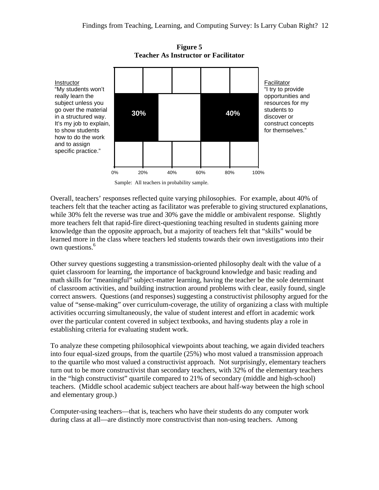

**Figure 5 Teacher As Instructor or Facilitator**

Overall, teachers' responses reflected quite varying philosophies. For example, about 40% of teachers felt that the teacher acting as facilitator was preferable to giving structured explanations, while 30% felt the reverse was true and 30% gave the middle or ambivalent response. Slightly more teachers felt that rapid-fire direct-questioning teaching resulted in students gaining more knowledge than the opposite approach, but a majority of teachers felt that "skills" would be learned more in the class where teachers led students towards their own investigations into their own questions.<sup>6</sup>

Other survey questions suggesting a transmission-oriented philosophy dealt with the value of a quiet classroom for learning, the importance of background knowledge and basic reading and math skills for "meaningful" subject-matter learning, having the teacher be the sole determinant of classroom activities, and building instruction around problems with clear, easily found, single correct answers. Questions (and responses) suggesting a constructivist philosophy argued for the value of "sense-making" over curriculum-coverage, the utility of organizing a class with multiple activities occurring simultaneously, the value of student interest and effort in academic work over the particular content covered in subject textbooks, and having students play a role in establishing criteria for evaluating student work.

To analyze these competing philosophical viewpoints about teaching, we again divided teachers into four equal-sized groups, from the quartile (25%) who most valued a transmission approach to the quartile who most valued a constructivist approach. Not surprisingly, elementary teachers turn out to be more constructivist than secondary teachers, with 32% of the elementary teachers in the "high constructivist" quartile compared to 21% of secondary (middle and high-school) teachers. (Middle school academic subject teachers are about half-way between the high school and elementary group.)

Computer-using teachers—that is, teachers who have their students do any computer work during class at all—are distinctly more constructivist than non-using teachers. Among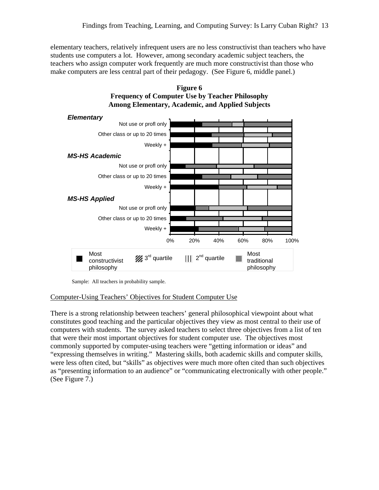elementary teachers, relatively infrequent users are no less constructivist than teachers who have students use computers a lot. However, among secondary academic subject teachers, the teachers who assign computer work frequently are much more constructivist than those who make computers are less central part of their pedagogy. (See Figure 6, middle panel.)



**Figure 6 Frequency of Computer Use by Teacher Philosophy Among Elementary, Academic, and Applied Subjects**

#### Computer-Using Teachers' Objectives for Student Computer Use

There is a strong relationship between teachers' general philosophical viewpoint about what constitutes good teaching and the particular objectives they view as most central to their use of computers with students. The survey asked teachers to select three objectives from a list of ten that were their most important objectives for student computer use. The objectives most commonly supported by computer-using teachers were "getting information or ideas" and "expressing themselves in writing." Mastering skills, both academic skills and computer skills, were less often cited, but "skills" as objectives were much more often cited than such objectives as "presenting information to an audience" or "communicating electronically with other people." (See Figure 7.)

Sample: All teachers in probability sample.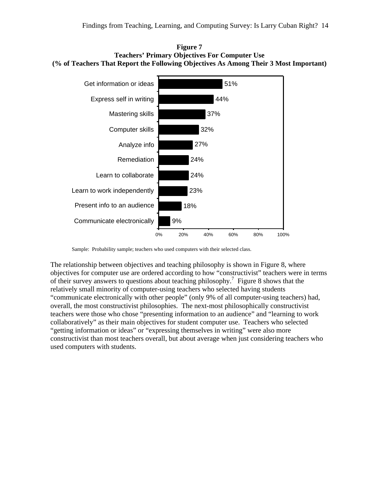



Sample: Probability sample; teachers who used computers with their selected class.

The relationship between objectives and teaching philosophy is shown in Figure 8, where objectives for computer use are ordered according to how "constructivist" teachers were in terms of their survey answers to questions about teaching philosophy.<sup>7</sup> Figure 8 shows that the relatively small minority of computer-using teachers who selected having students "communicate electronically with other people" (only 9% of all computer-using teachers) had, overall, the most constructivist philosophies. The next-most philosophically constructivist teachers were those who chose "presenting information to an audience" and "learning to work collaboratively" as their main objectives for student computer use. Teachers who selected "getting information or ideas" or "expressing themselves in writing" were also more constructivist than most teachers overall, but about average when just considering teachers who used computers with students.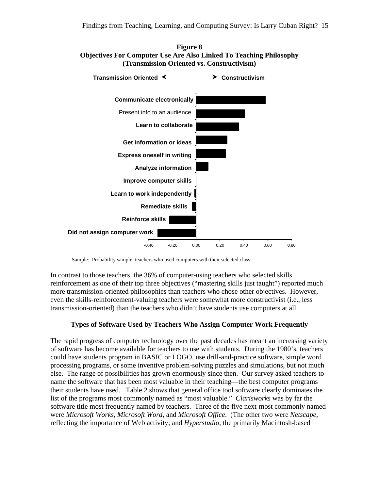



Sample: Probability sample; teachers who used computers with their selected class.

In contrast to those teachers, the 36% of computer-using teachers who selected skills reinforcement as one of their top three objectives ("mastering skills just taught") reported much more transmission-oriented philosophies than teachers who chose other objectives. However, even the skills-reinforcement-valuing teachers were somewhat more constructivist (i.e., less transmission-oriented) than the teachers who didn't have students use computers at all.

# **Types of Software Used by Teachers Who Assign Computer Work Frequently**

The rapid progress of computer technology over the past decades has meant an increasing variety of software has become available for teachers to use with students. During the 1980's, teachers could have students program in BASIC or LOGO, use drill-and-practice software, simple word processing programs, or some inventive problem-solving puzzles and simulations, but not much else. The range of possibilities has grown enormously since then. Our survey asked teachers to name the software that has been most valuable in their teaching—the best computer programs their students have used. Table 2 shows that general office tool software clearly dominates the list of the programs most commonly named as "most valuable." *Clarisworks* was by far the software title most frequently named by teachers. Three of the five next-most commonly named were *Microsoft Works*, *Microsoft Word*, and *Microsoft Office*. (The other two were *Netscape*, reflecting the importance of Web activity; and *Hyperstudio*, the primarily Macintosh-based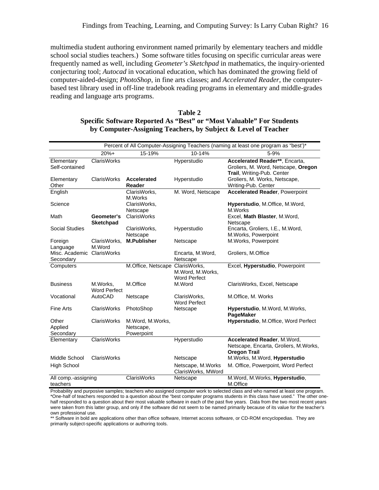multimedia student authoring environment named primarily by elementary teachers and middle school social studies teachers.) Some software titles focusing on specific curricular areas were frequently named as well, including *Geometer's Sketchpad* in mathematics, the inquiry-oriented conjecturing tool; *Autocad* in vocational education, which has dominated the growing field of computer-aided-design; *PhotoShop*, in fine arts classes; and *Accelerated Reader*, the computerbased test library used in off-line tradebook reading programs in elementary and middle-grades reading and language arts programs.

| Table 2                                                                     |
|-----------------------------------------------------------------------------|
| <b>Specific Software Reported As "Best" or "Most Valuable" For Students</b> |
| by Computer-Assigning Teachers, by Subject & Level of Teacher               |

|                                         |                                 |                                             |                                         | Percent of All Computer-Assigning Teachers (naming at least one program as "best")*                 |
|-----------------------------------------|---------------------------------|---------------------------------------------|-----------------------------------------|-----------------------------------------------------------------------------------------------------|
|                                         | $20%+$                          | 15-19%                                      | 10-14%                                  | 5-9%                                                                                                |
| Elementary<br>Self-contained            | <b>ClarisWorks</b>              |                                             | Hyperstudio                             | Accelerated Reader**, Encarta,<br>Groliers, M. Word, Netscape, Oregon<br>Trail, Writing-Pub. Center |
| Elementary<br>Other                     | <b>ClarisWorks</b>              | Accelerated<br>Reader                       | Hyperstudio                             | Groliers, M. Works, Netscape,<br>Writing-Pub. Center                                                |
| English                                 |                                 | ClarisWorks,<br>M.Works                     | M. Word, Netscape                       | <b>Accelerated Reader, Powerpoint</b>                                                               |
| Science                                 |                                 | ClarisWorks,<br>Netscape                    |                                         | Hyperstudio, M.Office, M.Word,<br>M.Works                                                           |
| Math                                    | Geometer's<br><b>Sketchpad</b>  | ClarisWorks                                 |                                         | Excel, Math Blaster, M.Word,<br>Netscape                                                            |
| <b>Social Studies</b>                   |                                 | ClarisWorks,<br>Netscape                    | Hyperstudio                             | Encarta, Groliers, I.E., M.Word,<br>M.Works, Powerpoint                                             |
| Foreign<br>Language                     | ClarisWorks,<br>M.Word          | <b>M.Publisher</b>                          | Netscape                                | M.Works, Powerpoint                                                                                 |
| Misc. Academic ClarisWorks<br>Secondary |                                 |                                             | Encarta, M.Word,<br>Netscape            | Groliers, M.Office                                                                                  |
| Computers                               |                                 | M.Office, Netscape ClarisWorks,             | M.Word, M.Works,<br><b>Word Perfect</b> | Excel, Hyperstudio, Powerpoint                                                                      |
| <b>Business</b>                         | M.Works.<br><b>Word Perfect</b> | M.Office                                    | M.Word                                  | ClarisWorks, Excel, Netscape                                                                        |
| Vocational                              | AutoCAD                         | Netscape                                    | ClarisWorks,<br><b>Word Perfect</b>     | M.Office, M. Works                                                                                  |
| <b>Fine Arts</b>                        | <b>ClarisWorks</b>              | PhotoShop                                   | Netscape                                | Hyperstudio, M.Word, M.Works,<br>PageMaker                                                          |
| Other<br>Applied<br>Secondary           | <b>ClarisWorks</b>              | M.Word, M.Works,<br>Netscape,<br>Powerpoint |                                         | Hyperstudio, M.Office, Word Perfect                                                                 |
| Elementary                              | <b>ClarisWorks</b>              |                                             | Hyperstudio                             | Accelerated Reader, M.Word,<br>Netscape, Encarta, Groliers, M.Works,<br><b>Oregon Trail</b>         |
| Middle School                           | <b>ClarisWorks</b>              |                                             | Netscape                                | M. Works, M. Word, Hyperstudio                                                                      |
| <b>High School</b>                      |                                 |                                             | Netscape, M.Works<br>ClarisWorks, MWord | M. Office, Powerpoint, Word Perfect                                                                 |
| All comp.-assigning<br>teachers         |                                 | <b>ClarisWorks</b>                          | Netscape                                | M. Word, M. Works, Hyperstudio,<br>M.Office                                                         |

Probability and purposive samples; teachers who assigned computer work to selected class and who named at least one program. \*One-half of teachers responded to a question about the "best computer programs students in this class have used." The other onehalf responded to a question about their most valuable software in each of the past five years. Data from the two most recent years were taken from this latter group, and only if the software did not seem to be named primarily because of its value for the teacher's own professional use.

\*\* Software in bold are applications other than office software, Internet access software, or CD-ROM encyclopedias. They are primarily subject-specific applications or authoring tools.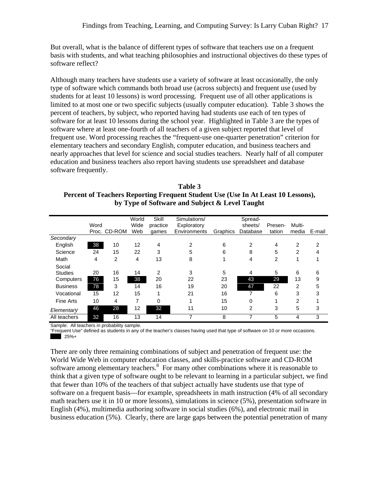But overall, what is the balance of different types of software that teachers use on a frequent basis with students, and what teaching philosophies and instructional objectives do these types of software reflect?

Although many teachers have students use a variety of software at least occasionally, the only type of software which commands both broad use (across subjects) and frequent use (used by students for at least 10 lessons) is word processing. Frequent use of all other applications is limited to at most one or two specific subjects (usually computer education). Table 3 shows the percent of teachers, by subject, who reported having had students use each of ten types of software for at least 10 lessons during the school year. Highlighted in Table 3 are the types of software where at least one-fourth of all teachers of a given subject reported that level of frequent use. Word processing reaches the "frequent-use one-quarter penetration" criterion for elementary teachers and secondary English, computer education, and business teachers and nearly approaches that level for science and social studies teachers. Nearly half of all computer education and business teachers also report having students use spreadsheet and database software frequently.

**Table 3 Percent of Teachers Reporting Frequent Student Use (Use In At Least 10 Lessons), by Type of Software and Subject & Level Taught**

|                 | Word<br>Proc. | CD-ROM | World<br>Wide<br>Web | Skill<br>practice<br>games | Simulations/<br>Exploratory<br>Environments | Graphics | Spread-<br>sheets/<br>Database | Presen-<br>tation | Multi-<br>media | E-mail |
|-----------------|---------------|--------|----------------------|----------------------------|---------------------------------------------|----------|--------------------------------|-------------------|-----------------|--------|
| Secondary       |               |        |                      |                            |                                             |          |                                |                   |                 |        |
| English         | 38            | 10     | 12                   | 4                          | 2                                           | 6        | 2                              | 4                 | 2               | 2      |
| Science         | 24            | 15     | 22                   | 3                          | 5                                           | 6        | 8                              | 5                 | 2               | 4      |
| Math            | 4             | 2      | 4                    | 13                         | 8                                           |          | 4                              | 2                 |                 |        |
| Social          |               |        |                      |                            |                                             |          |                                |                   |                 |        |
| <b>Studies</b>  | 20            | 16     | 14                   | 2                          | 3                                           | 5        | 4                              | 5                 | 6               | 6      |
| Computers       | 76            | 15     | 38                   | 20                         | 22                                          | 23       | 43                             | 29                | 13              | 9      |
| <b>Business</b> | 78            | 3      | 14                   | 16                         | 19                                          | 20       | 47                             | 22                | 2               | 5      |
| Vocational      | 15            | 12     | 15                   | 4                          | 21                                          | 16       | 7                              | 6                 | 3               | 3      |
| Fine Arts       | 10            | 4      | 7                    | 0                          |                                             | 15       | 0                              |                   | 2               |        |
| Elementary      | 46            | 28     | 12                   | 32                         | 11                                          | 10       | 2                              | 3                 | 5               | 3      |
| All teachers    | 32            | 16     | 13                   | 14                         | 7                                           | 8        | 7                              | 5                 | 4               | 3      |

Sample: All teachers in probability sample.

"Frequent Use" defined as students in any of the teacher's classes having used that type of software on 10 or more occasions. 25%+

There are only three remaining combinations of subject and penetration of frequent use: the World Wide Web in computer education classes, and skills-practice software and CD-ROM software among elementary teachers.<sup>8</sup> For many other combinations where it is reasonable to think that a given type of software ought to be relevant to learning in a particular subject, we find that fewer than 10% of the teachers of that subject actually have students use that type of software on a frequent basis—for example, spreadsheets in math instruction (4% of all secondary math teachers use it in 10 or more lessons), simulations in science (5%), presentation software in English (4%), multimedia authoring software in social studies (6%), and electronic mail in business education (5%). Clearly, there are large gaps between the potential penetration of many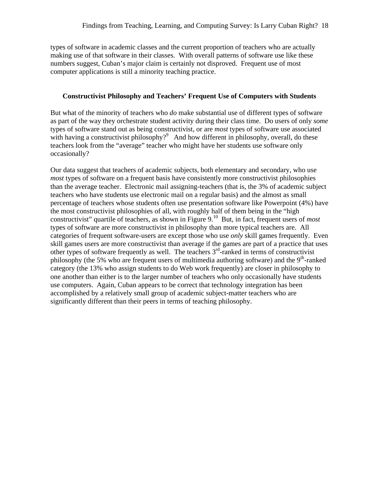types of software in academic classes and the current proportion of teachers who are actually making use of that software in their classes. With overall patterns of software use like these numbers suggest, Cuban's major claim is certainly not disproved. Frequent use of most computer applications is still a minority teaching practice.

## **Constructivist Philosophy and Teachers' Frequent Use of Computers with Students**

But what of the minority of teachers who *do* make substantial use of different types of software as part of the way they orchestrate student activity during their class time. Do users of only *some* types of software stand out as being constructivist, or are *most* types of software use associated with having a constructivist philosophy?<sup>9</sup> And how different in philosophy, overall, do these teachers look from the "average" teacher who might have her students use software only occasionally?

Our data suggest that teachers of academic subjects, both elementary and secondary, who use *most* types of software on a frequent basis have consistently more constructivist philosophies than the average teacher. Electronic mail assigning-teachers (that is, the 3% of academic subject teachers who have students use electronic mail on a regular basis) and the almost as small percentage of teachers whose students often use presentation software like Powerpoint (4%) have the most constructivist philosophies of all, with roughly half of them being in the "high constructivist" quartile of teachers, as shown in Figure 9.<sup>10</sup> But, in fact, frequent users of *most* types of software are more constructivist in philosophy than more typical teachers are. All categories of frequent software-users are except those who use *only* skill games frequently. Even skill games users are more constructivist than average if the games are part of a practice that uses other types of software frequently as well. The teachers  $3<sup>rd</sup>$ -ranked in terms of constructivist philosophy (the 5% who are frequent users of multimedia authoring software) and the  $9<sup>th</sup>$ -ranked category (the 13% who assign students to do Web work frequently) are closer in philosophy to one another than either is to the larger number of teachers who only occasionally have students use computers. Again, Cuban appears to be correct that technology integration has been accomplished by a relatively small group of academic subject-matter teachers who are significantly different than their peers in terms of teaching philosophy.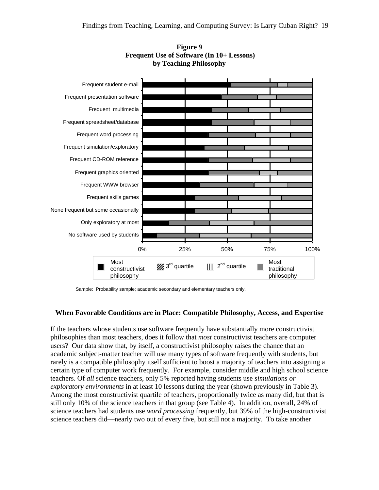

**Figure 9 Frequent Use of Software (In 10+ Lessons) by Teaching Philosophy**

Sample: Probability sample; academic secondary and elementary teachers only.

# **When Favorable Conditions are in Place: Compatible Philosophy, Access, and Expertise**

If the teachers whose students use software frequently have substantially more constructivist philosophies than most teachers, does it follow that *most* constructivist teachers are computer users? Our data show that, by itself, a constructivist philosophy raises the chance that an academic subject-matter teacher will use many types of software frequently with students, but rarely is a compatible philosophy itself sufficient to boost a majority of teachers into assigning a certain type of computer work frequently. For example, consider middle and high school science teachers. Of *all* science teachers, only 5% reported having students use *simulations or exploratory environments* in at least 10 lessons during the year (shown previously in Table 3). Among the most constructivist quartile of teachers, proportionally twice as many did, but that is still only 10% of the science teachers in that group (see Table 4). In addition, overall, 24% of science teachers had students use *word processing* frequently, but 39% of the high-constructivist science teachers did—nearly two out of every five, but still not a majority. To take another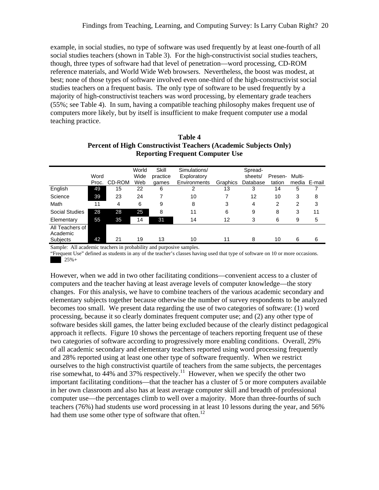example, in social studies, no type of software was used frequently by at least one-fourth of all social studies teachers (shown in Table 3). For the high-constructivist social studies teachers, though, three types of software had that level of penetration—word processing, CD-ROM reference materials, and World Wide Web browsers. Nevertheless, the boost was modest, at best; none of those types of software involved even one-third of the high-constructivist social studies teachers on a frequent basis. The only type of software to be used frequently by a majority of high-constructivist teachers was word processing, by elementary grade teachers (55%; see Table 4). In sum, having a compatible teaching philosophy makes frequent use of computers more likely, but by itself is insufficient to make frequent computer use a modal teaching practice.

|                             |       |        | World | Skill    | Simulations/ |          | Spread-  |         |        |              |
|-----------------------------|-------|--------|-------|----------|--------------|----------|----------|---------|--------|--------------|
|                             | Word  |        | Wide  | practice | Exploratory  |          | sheets/  | Presen- | Multi- |              |
|                             | Proc. | CD-ROM | Web   | games    | Environments | Graphics | Database | tation  |        | media E-mail |
| English                     | 49    | 15     | 22    | 6        | 2            | 13       | 3        | 14      | 5      |              |
| Science                     | 39    | 23     | 24    |          | 10           | 7        | 12       | 10      | 3      | 8            |
| Math                        | 11    | 4      | 6     | 9        | 8            | 3        | 4        | 2       | 2      | 3            |
| Social Studies              | 28    | 28     | 25    | 8        | 11           | 6        | 9        | 8       | 3      | 11           |
| Elementary                  | 55    | 35     | 14    | 31       | 14           | 12       | 3        | 6       | 9      | 5            |
| All Teachers of<br>Academic |       |        |       |          |              |          |          |         |        |              |
| Subjects                    | 42    | 21     | 19    | 13       | 10           | 11       | 8        | 10      | 6      | 6            |

## **Table 4 Percent of High Constructivist Teachers (Academic Subjects Only) Reporting Frequent Computer Use**

Sample: All academic teachers in probability and purposive samples.

"Frequent Use" defined as students in any of the teacher's classes having used that type of software on 10 or more occasions.  $25% +$ 

However, when we add in two other facilitating conditions—convenient access to a cluster of computers and the teacher having at least average levels of computer knowledge—the story changes. For this analysis, we have to combine teachers of the various academic secondary and elementary subjects together because otherwise the number of survey respondents to be analyzed becomes too small. We present data regarding the use of two categories of software: (1) word processing, because it so clearly dominates frequent computer use; and (2) any other type of software besides skill games, the latter being excluded because of the clearly distinct pedagogical approach it reflects. Figure 10 shows the percentage of teachers reporting frequent use of these two categories of software according to progressively more enabling conditions. Overall, 29% of all academic secondary and elementary teachers reported using word processing frequently and 28% reported using at least one other type of software frequently. When we restrict ourselves to the high constructivist quartile of teachers from the same subjects, the percentages rise somewhat, to 44% and 37% respectively.<sup>11</sup> However, when we specify the other two important facilitating conditions—that the teacher has a cluster of 5 or more computers available in her own classroom and also has at least average computer skill and breadth of professional computer use—the percentages climb to well over a majority. More than three-fourths of such teachers (76%) had students use word processing in at least 10 lessons during the year, and 56% had them use some other type of software that often.<sup>12</sup>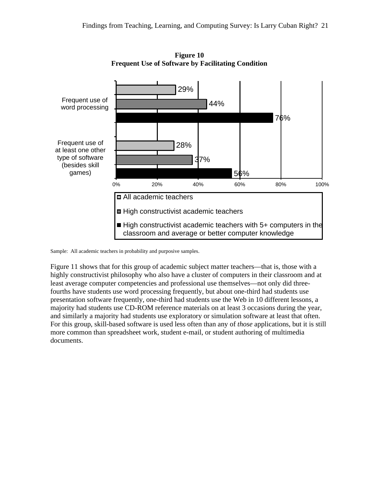

**Figure 10 Frequent Use of Software by Facilitating Condition**

Sample: All academic teachers in probability and purposive samples.

Figure 11 shows that for this group of academic subject matter teachers—that is, those with a highly constructivist philosophy who also have a cluster of computers in their classroom and at least average computer competencies and professional use themselves—not only did threefourths have students use word processing frequently, but about one-third had students use presentation software frequently, one-third had students use the Web in 10 different lessons, a majority had students use CD-ROM reference materials on at least 3 occasions during the year, and similarly a majority had students use exploratory or simulation software at least that often. For this group, skill-based software is used less often than any of *those* applications, but it is still more common than spreadsheet work, student e-mail, or student authoring of multimedia documents.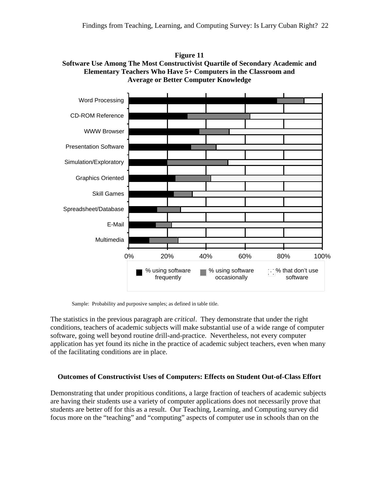



Sample: Probability and purposive samples; as defined in table title.

The statistics in the previous paragraph are *critical*. They demonstrate that under the right conditions, teachers of academic subjects will make substantial use of a wide range of computer software, going well beyond routine drill-and-practice. Nevertheless, not every computer application has yet found its niche in the practice of academic subject teachers, even when many of the facilitating conditions are in place.

#### **Outcomes of Constructivist Uses of Computers: Effects on Student Out-of-Class Effort**

Demonstrating that under propitious conditions, a large fraction of teachers of academic subjects are having their students use a variety of computer applications does not necessarily prove that students are better off for this as a result. Our Teaching, Learning, and Computing survey did focus more on the "teaching" and "computing" aspects of computer use in schools than on the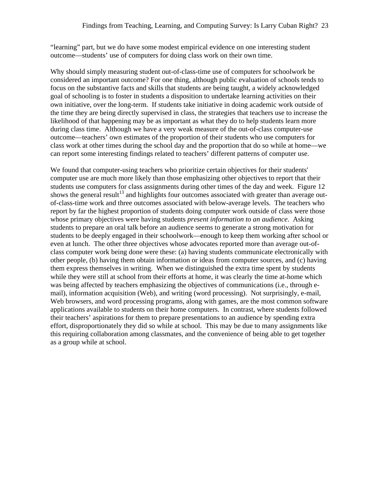"learning" part, but we do have some modest empirical evidence on one interesting student outcome—students' use of computers for doing class work on their own time.

Why should simply measuring student out-of-class-time use of computers for schoolwork be considered an important outcome? For one thing, although public evaluation of schools tends to focus on the substantive facts and skills that students are being taught, a widely acknowledged goal of schooling is to foster in students a disposition to undertake learning activities on their own initiative, over the long-term. If students take initiative in doing academic work outside of the time they are being directly supervised in class, the strategies that teachers use to increase the likelihood of that happening may be as important as what they do to help students learn more during class time. Although we have a very weak measure of the out-of-class computer-use outcome—teachers' own estimates of the proportion of their students who use computers for class work at other times during the school day and the proportion that do so while at home—we can report some interesting findings related to teachers' different patterns of computer use.

We found that computer-using teachers who prioritize certain objectives for their students' computer use are much more likely than those emphasizing other objectives to report that their students use computers for class assignments during other times of the day and week. Figure 12 shows the general result<sup>13</sup> and highlights four outcomes associated with greater than average outof-class-time work and three outcomes associated with below-average levels. The teachers who report by far the highest proportion of students doing computer work outside of class were those whose primary objectives were having students *present information to an audience*. Asking students to prepare an oral talk before an audience seems to generate a strong motivation for students to be deeply engaged in their schoolwork—enough to keep them working after school or even at lunch. The other three objectives whose advocates reported more than average out-ofclass computer work being done were these: (a) having students communicate electronically with other people, (b) having them obtain information or ideas from computer sources, and (c) having them express themselves in writing. When we distinguished the extra time spent by students while they were still at school from their efforts at home, it was clearly the time at-home which was being affected by teachers emphasizing the objectives of communications (i.e., through email), information acquisition (Web), and writing (word processing). Not surprisingly, e-mail, Web browsers, and word processing programs, along with games, are the most common software applications available to students on their home computers. In contrast, where students followed their teachers' aspirations for them to prepare presentations to an audience by spending extra effort, disproportionately they did so while at school. This may be due to many assignments like this requiring collaboration among classmates, and the convenience of being able to get together as a group while at school.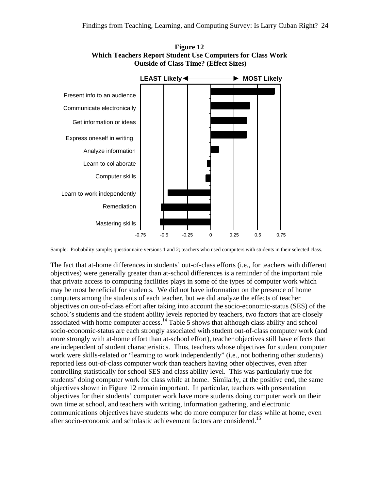

**Figure 12 Which Teachers Report Student Use Computers for Class Work Outside of Class Time? (Effect Sizes)**

Sample: Probability sample; questionnaire versions 1 and 2; teachers who used computers with students in their selected class.

The fact that at-home differences in students' out-of-class efforts (i.e., for teachers with different objectives) were generally greater than at-school differences is a reminder of the important role that private access to computing facilities plays in some of the types of computer work which may be most beneficial for students. We did not have information on the presence of home computers among the students of each teacher, but we did analyze the effects of teacher objectives on out-of-class effort after taking into account the socio-economic-status (SES) of the school's students and the student ability levels reported by teachers, two factors that are closely associated with home computer access.<sup>14</sup> Table 5 shows that although class ability and school socio-economic-status are each strongly associated with student out-of-class computer work (and more strongly with at-home effort than at-school effort), teacher objectives still have effects that are independent of student characteristics. Thus, teachers whose objectives for student computer work were skills-related or "learning to work independently" (i.e., not bothering other students) reported less out-of-class computer work than teachers having other objectives, even after controlling statistically for school SES and class ability level. This was particularly true for students' doing computer work for class while at home. Similarly, at the positive end, the same objectives shown in Figure 12 remain important. In particular, teachers with presentation objectives for their students' computer work have more students doing computer work on their own time at school, and teachers with writing, information gathering, and electronic communications objectives have students who do more computer for class while at home, even after socio-economic and scholastic achievement factors are considered.<sup>15</sup>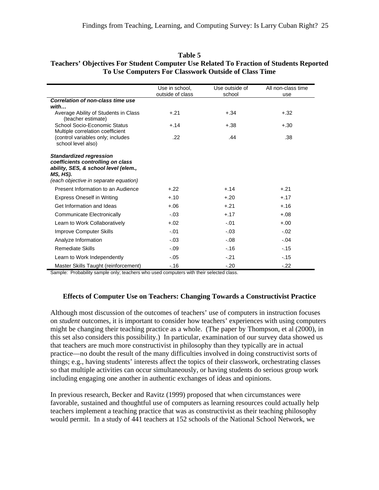|                                                                                                                                                                  | Use in school,<br>outside of class | Use outside of<br>school | All non-class time<br>use |
|------------------------------------------------------------------------------------------------------------------------------------------------------------------|------------------------------------|--------------------------|---------------------------|
| Correlation of non-class time use                                                                                                                                |                                    |                          |                           |
| with                                                                                                                                                             |                                    |                          |                           |
| Average Ability of Students in Class<br>(teacher estimate)                                                                                                       | $+.21$                             | $+.34$                   | $+.32$                    |
| School Socio-Economic Status                                                                                                                                     | $+.14$                             | $+.38$                   | $+.30$                    |
| Multiple correlation coefficient                                                                                                                                 |                                    |                          |                           |
| (control variables only; includes                                                                                                                                | .22                                | .44                      | .38                       |
| school level also)                                                                                                                                               |                                    |                          |                           |
| <b>Standardized regression</b><br>coefficients controlling on class<br>ability, SES, & school level (elem.,<br>MS, HS).<br>(each objective in separate equation) |                                    |                          |                           |
| Present Information to an Audience                                                                                                                               | $+22$                              | $+.14$                   | $+.21$                    |
| <b>Express Oneself in Writing</b>                                                                                                                                | $+.10$                             | $+.20$                   | $+.17$                    |
| Get Information and Ideas                                                                                                                                        | $+.06$                             | $+.21$                   | $+.16$                    |
| Communicate Electronically                                                                                                                                       | $-.03$                             | $+.17$                   | $+.08$                    |
| Learn to Work Collaboratively                                                                                                                                    | $+.02$                             | $-.01$                   | $+.00$                    |
| <b>Improve Computer Skills</b>                                                                                                                                   | $-.01$                             | $-.03$                   | $-.02$                    |
| Analyze Information                                                                                                                                              | $-.03$                             | $-.08$                   | $-.04$                    |
| <b>Remediate Skills</b>                                                                                                                                          | $-.09$                             | $-.16$                   | $-.15$                    |
| Learn to Work Independently                                                                                                                                      | $-.05$                             | $-.21$                   | $-.15$                    |
| Master Skills Taught (reinforcement)                                                                                                                             | $-.16$                             | $-.20$                   | $-.22$                    |

### **Table 5 Teachers' Objectives For Student Computer Use Related To Fraction of Students Reported To Use Computers For Classwork Outside of Class Time**

Sample: Probability sample only; teachers who used computers with their selected class.

# **Effects of Computer Use on Teachers: Changing Towards a Constructivist Practice**

Although most discussion of the outcomes of teachers' use of computers in instruction focuses on *student* outcomes, it is important to consider how teachers' experiences with using computers might be changing their teaching practice as a whole. (The paper by Thompson, et al (2000), in this set also considers this possibility.) In particular, examination of our survey data showed us that teachers are much more constructivist in philosophy than they typically are in actual practice—no doubt the result of the many difficulties involved in doing constructivist sorts of things; e.g., having students' interests affect the topics of their classwork, orchestrating classes so that multiple activities can occur simultaneously, or having students do serious group work including engaging one another in authentic exchanges of ideas and opinions.

In previous research, Becker and Ravitz (1999) proposed that when circumstances were favorable, sustained and thoughtful use of computers as learning resources could actually help teachers implement a teaching practice that was as constructivist as their teaching philosophy would permit. In a study of 441 teachers at 152 schools of the National School Network, we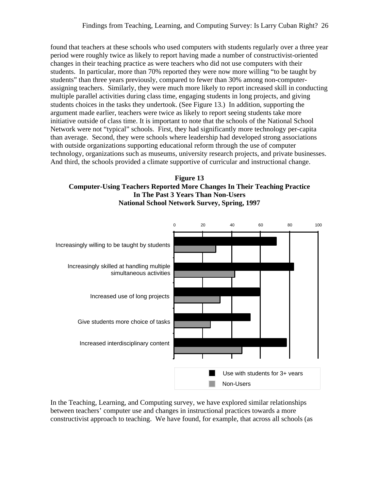found that teachers at these schools who used computers with students regularly over a three year period were roughly twice as likely to report having made a number of constructivist-oriented changes in their teaching practice as were teachers who did not use computers with their students. In particular, more than 70% reported they were now more willing "to be taught by students" than three years previously, compared to fewer than 30% among non-computerassigning teachers. Similarly, they were much more likely to report increased skill in conducting multiple parallel activities during class time, engaging students in long projects, and giving students choices in the tasks they undertook. (See Figure 13.) In addition, supporting the argument made earlier, teachers were twice as likely to report seeing students take more initiative outside of class time. It is important to note that the schools of the National School Network were not "typical" schools. First, they had significantly more technology per-capita than average. Second, they were schools where leadership had developed strong associations with outside organizations supporting educational reform through the use of computer technology, organizations such as museums, university research projects, and private businesses. And third, the schools provided a climate supportive of curricular and instructional change.





In the Teaching, Learning, and Computing survey, we have explored similar relationships between teachers' computer use and changes in instructional practices towards a more constructivist approach to teaching. We have found, for example, that across all schools (as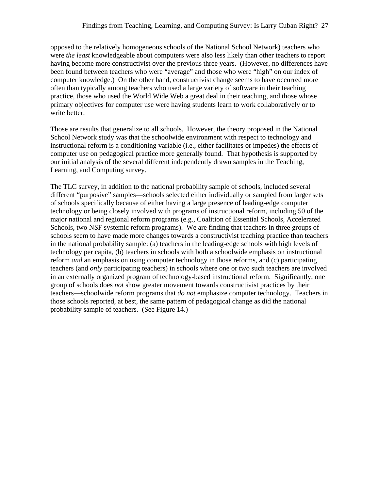opposed to the relatively homogeneous schools of the National School Network) teachers who were *the least* knowledgeable about computers were also less likely than other teachers to report having become more constructivist over the previous three years. (However, no differences have been found between teachers who were "average" and those who were "high" on our index of computer knowledge.) On the other hand, constructivist change seems to have occurred more often than typically among teachers who used a large variety of software in their teaching practice, those who used the World Wide Web a great deal in their teaching, and those whose primary objectives for computer use were having students learn to work collaboratively or to write better.

Those are results that generalize to all schools. However, the theory proposed in the National School Network study was that the schoolwide environment with respect to technology and instructional reform is a conditioning variable (i.e., either facilitates or impedes) the effects of computer use on pedagogical practice more generally found. That hypothesis is supported by our initial analysis of the several different independently drawn samples in the Teaching, Learning, and Computing survey.

The TLC survey, in addition to the national probability sample of schools, included several different "purposive" samples—schools selected either individually or sampled from larger sets of schools specifically because of either having a large presence of leading-edge computer technology or being closely involved with programs of instructional reform, including 50 of the major national and regional reform programs (e.g., Coalition of Essential Schools, Accelerated Schools, two NSF systemic reform programs). We are finding that teachers in three groups of schools seem to have made more changes towards a constructivist teaching practice than teachers in the national probability sample: (a) teachers in the leading-edge schools with high levels of technology per capita, (b) teachers in schools with both a schoolwide emphasis on instructional reform *and* an emphasis on using computer technology in those reforms, and (c) participating teachers (and *only* participating teachers) in schools where one or two such teachers are involved in an externally organized program of technology-based instructional reform. Significantly, one group of schools does *not* show greater movement towards constructivist practices by their teachers—schoolwide reform programs that *do not* emphasize computer technology. Teachers in those schools reported, at best, the same pattern of pedagogical change as did the national probability sample of teachers. (See Figure 14.)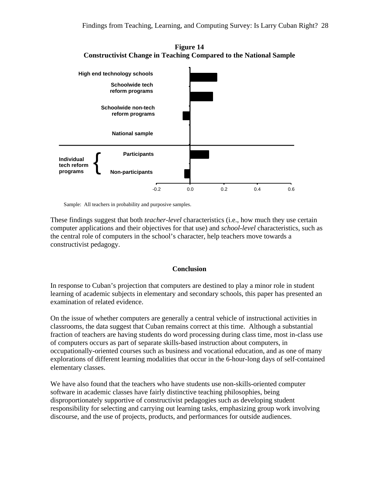

**Figure 14 Constructivist Change in Teaching Compared to the National Sample**

Sample: All teachers in probability and purposive samples.

These findings suggest that both *teacher-level* characteristics (i.e., how much they use certain computer applications and their objectives for that use) and *school-level* characteristics, such as the central role of computers in the school's character, help teachers move towards a constructivist pedagogy.

#### **Conclusion**

In response to Cuban's projection that computers are destined to play a minor role in student learning of academic subjects in elementary and secondary schools, this paper has presented an examination of related evidence.

On the issue of whether computers are generally a central vehicle of instructional activities in classrooms, the data suggest that Cuban remains correct at this time. Although a substantial fraction of teachers are having students do word processing during class time, most in-class use of computers occurs as part of separate skills-based instruction about computers, in occupationally-oriented courses such as business and vocational education, and as one of many explorations of different learning modalities that occur in the 6-hour-long days of self-contained elementary classes.

We have also found that the teachers who have students use non-skills-oriented computer software in academic classes have fairly distinctive teaching philosophies, being disproportionately supportive of constructivist pedagogies such as developing student responsibility for selecting and carrying out learning tasks, emphasizing group work involving discourse, and the use of projects, products, and performances for outside audiences.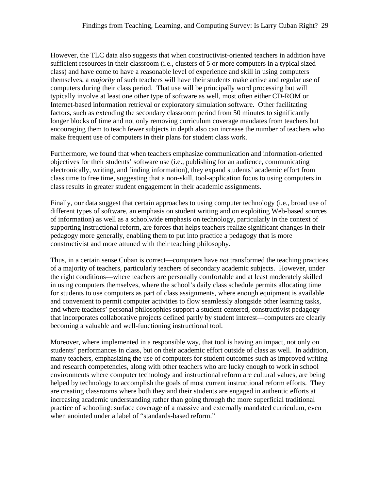However, the TLC data also suggests that when constructivist-oriented teachers in addition have sufficient resources in their classroom (i.e., clusters of 5 or more computers in a typical sized class) and have come to have a reasonable level of experience and skill in using computers themselves, a *majority* of such teachers will have their students make active and regular use of computers during their class period. That use will be principally word processing but will typically involve at least one other type of software as well, most often either CD-ROM or Internet-based information retrieval or exploratory simulation software. Other facilitating factors, such as extending the secondary classroom period from 50 minutes to significantly longer blocks of time and not only removing curriculum coverage mandates from teachers but encouraging them to teach fewer subjects in depth also can increase the number of teachers who make frequent use of computers in their plans for student class work.

Furthermore, we found that when teachers emphasize communication and information-oriented objectives for their students' software use (i.e., publishing for an audience, communicating electronically, writing, and finding information), they expand students' academic effort from class time to free time, suggesting that a non-skill, tool-application focus to using computers in class results in greater student engagement in their academic assignments.

Finally, our data suggest that certain approaches to using computer technology (i.e., broad use of different types of software, an emphasis on student writing and on exploiting Web-based sources of information) as well as a schoolwide emphasis on technology, particularly in the context of supporting instructional reform, are forces that helps teachers realize significant changes in their pedagogy more generally, enabling them to put into practice a pedagogy that is more constructivist and more attuned with their teaching philosophy.

Thus, in a certain sense Cuban is correct—computers have *not* transformed the teaching practices of a majority of teachers, particularly teachers of secondary academic subjects. However, under the right conditions—where teachers are personally comfortable and at least moderately skilled in using computers themselves, where the school's daily class schedule permits allocating time for students to use computers as part of class assignments, where enough equipment is available and convenient to permit computer activities to flow seamlessly alongside other learning tasks, and where teachers' personal philosophies support a student-centered, constructivist pedagogy that incorporates collaborative projects defined partly by student interest—computers are clearly becoming a valuable and well-functioning instructional tool.

Moreover, where implemented in a responsible way, that tool is having an impact, not only on students' performances in class, but on their academic effort outside of class as well. In addition, many teachers, emphasizing the use of computers for student outcomes such as improved writing and research competencies, along with other teachers who are lucky enough to work in school environments where computer technology and instructional reform are cultural values, are being helped by technology to accomplish the goals of most current instructional reform efforts. They are creating classrooms where both they and their students are engaged in authentic efforts at increasing academic understanding rather than going through the more superficial traditional practice of schooling: surface coverage of a massive and externally mandated curriculum, even when anointed under a label of "standards-based reform."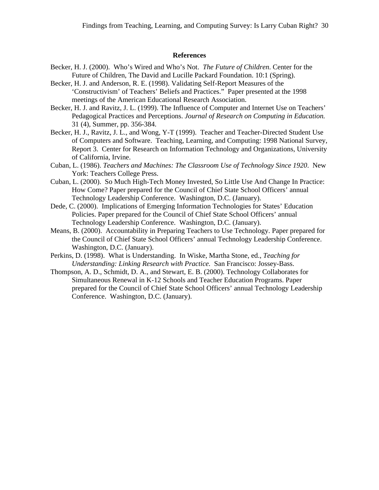#### **References**

- Becker, H. J. (2000). Who's Wired and Who's Not. *The Future of Children*. Center for the Future of Children, The David and Lucille Packard Foundation. 10:1 (Spring).
- Becker, H. J. and Anderson, R. E. (1998). Validating Self-Report Measures of the 'Constructivism' of Teachers' Beliefs and Practices." Paper presented at the 1998 meetings of the American Educational Research Association.
- Becker, H. J. and Ravitz, J. L. (1999). The Influence of Computer and Internet Use on Teachers' Pedagogical Practices and Perceptions. *Journal of Research on Computing in Education.* 31 (4), Summer, pp. 356-384.
- Becker, H. J., Ravitz, J. L., and Wong, Y-T (1999). Teacher and Teacher-Directed Student Use of Computers and Software. Teaching, Learning, and Computing: 1998 National Survey, Report 3. Center for Research on Information Technology and Organizations, University of California, Irvine.
- Cuban, L. (1986). *Teachers and Machines: The Classroom Use of Technology Since 1920*. New York: Teachers College Press.
- Cuban, L. (2000). So Much High-Tech Money Invested, So Little Use And Change In Practice: How Come? Paper prepared for the Council of Chief State School Officers' annual Technology Leadership Conference. Washington, D.C. (January).
- Dede, C. (2000). Implications of Emerging Information Technologies for States' Education Policies. Paper prepared for the Council of Chief State School Officers' annual Technology Leadership Conference. Washington, D.C. (January).
- Means, B. (2000). Accountability in Preparing Teachers to Use Technology. Paper prepared for the Council of Chief State School Officers' annual Technology Leadership Conference. Washington, D.C. (January).
- Perkins, D. (1998). What is Understanding. In Wiske, Martha Stone, ed., *Teaching for Understanding: Linking Research with Practice.* San Francisco: Jossey-Bass.
- Thompson, A. D., Schmidt, D. A., and Stewart, E. B. (2000). Technology Collaborates for Simultaneous Renewal in K-12 Schools and Teacher Education Programs. Paper prepared for the Council of Chief State School Officers' annual Technology Leadership Conference. Washington, D.C. (January).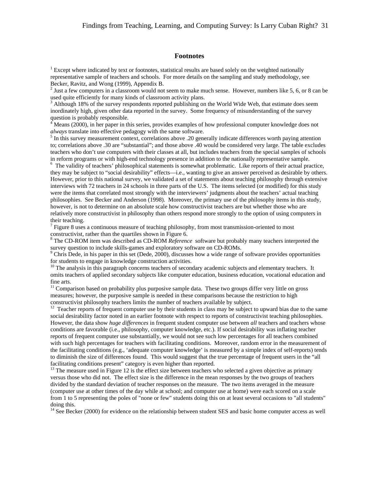#### **Footnotes**

<sup>1</sup> Except where indicated by text or footnotes, statistical results are based solely on the weighted nationally representative sample of teachers and schools. For more details on the sampling and study methodology, see Becker, Ravitz, and Wong (1999), Appendix B.

 $2$  Just a few computers in a classroom would not seem to make much sense. However, numbers like 5, 6, or 8 can be used quite efficiently for many kinds of classroom activity plans.

<sup>3</sup> Although 18% of the survey respondents reported publishing on the World Wide Web, that estimate does seem inordinately high, given other data reported in the survey. Some frequency of misunderstanding of the survey question is probably responsible.

 $4 \text{ Means}$  (2000), in her paper in this series, provides examples of how professional computer knowledge does not *always* translate into effective pedagogy with the same software.

<sup>5</sup> In this survey measurement context, correlations above .20 generally indicate differences worth paying attention to; correlations above .30 are "substantial"; and those above .40 would be considered very large. The table excludes teachers who don't use computers with their classes at all, but includes teachers from the special samples of schools in reform programs or with high-end technology presence in addition to the nationally representative sample.

<sup>6</sup> The validity of teachers' philosophical statements is somewhat problematic. Like reports of their actual practice, they may be subject to "social desirability" effects—i.e., wanting to give an answer perceived as desirable by others. However, prior to this national survey, we validated a set of statements about teaching philosophy through extensive interviews with 72 teachers in 24 schools in three parts of the U.S. The items selected (or modified) for this study were the items that correlated most strongly with the interviewers' judgments about the teachers' actual teaching philosophies. See Becker and Anderson (1998). Moreover, the primary use of the philosophy items in this study, however, is not to determine on an absolute scale how constructivist teachers are but whether those who are relatively more constructivist in philosophy than others respond more strongly to the option of using computers in their teaching.

 $<sup>7</sup>$  Figure 8 uses a continuous measure of teaching philosophy, from most transmission-oriented to most</sup> constructivist, rather than the quartiles shown in Figure 6.

<sup>8</sup> The CD-ROM item was described as CD-ROM *Reference* software but probably many teachers interpreted the survey question to include skills-games and exploratory software on CD-ROMs.

<sup>9</sup> Chris Dede, in his paper in this set (Dede, 2000), discusses how a wide range of software provides opportunities for students to engage in knowledge construction activities.

<sup>10</sup> The analysis in this paragraph concerns teachers of secondary academic subjects and elementary teachers. It omits teachers of applied secondary subjects like computer education, business education, vocational education and fine arts.

<sup>11</sup> Comparison based on probability plus purposive sample data. These two groups differ very little on gross measures; however, the purposive sample is needed in these comparisons because the restriction to high constructivist philosophy teachers limits the number of teachers available by subject.

<sup>12</sup> Teacher reports of frequent computer use by their students in class may be subject to upward bias due to the same social desirability factor noted in an earlier footnote with respect to reports of constructivist teaching philosophies. However, the data show *huge differences* in frequent student computer use between *all* teachers and teachers whose conditions are favorable (i.e., philosophy, computer knowledge, etc.). If social desirability was inflating teacher reports of frequent computer use substantially, we would not see such low percentages for all teachers combined with such high percentages for teachers with facilitating conditions. Moreover, random error in the measurement of the facilitating conditions (e.g., 'adequate computer knowledge' is measured by a simple index of self-reports) tends to diminish the size of differences found. This would suggest that the true percentage of frequent users in the "all facilitating conditions present" category is even higher than reported.

<sup>13</sup> The measure used in Figure 12 is the effect size between teachers who selected a given objective as primary versus those who did not. The effect size is the difference in the mean responses by the two groups of teachers divided by the standard deviation of teacher responses on the measure. The two items averaged in the measure (computer use at other times of the day while at school; and computer use at home) were each scored on a scale from 1 to 5 representing the poles of "none or few" students doing this on at least several occasions to "all students" doing this.

 $14$  See Becker (2000) for evidence on the relationship between student SES and basic home computer access as well